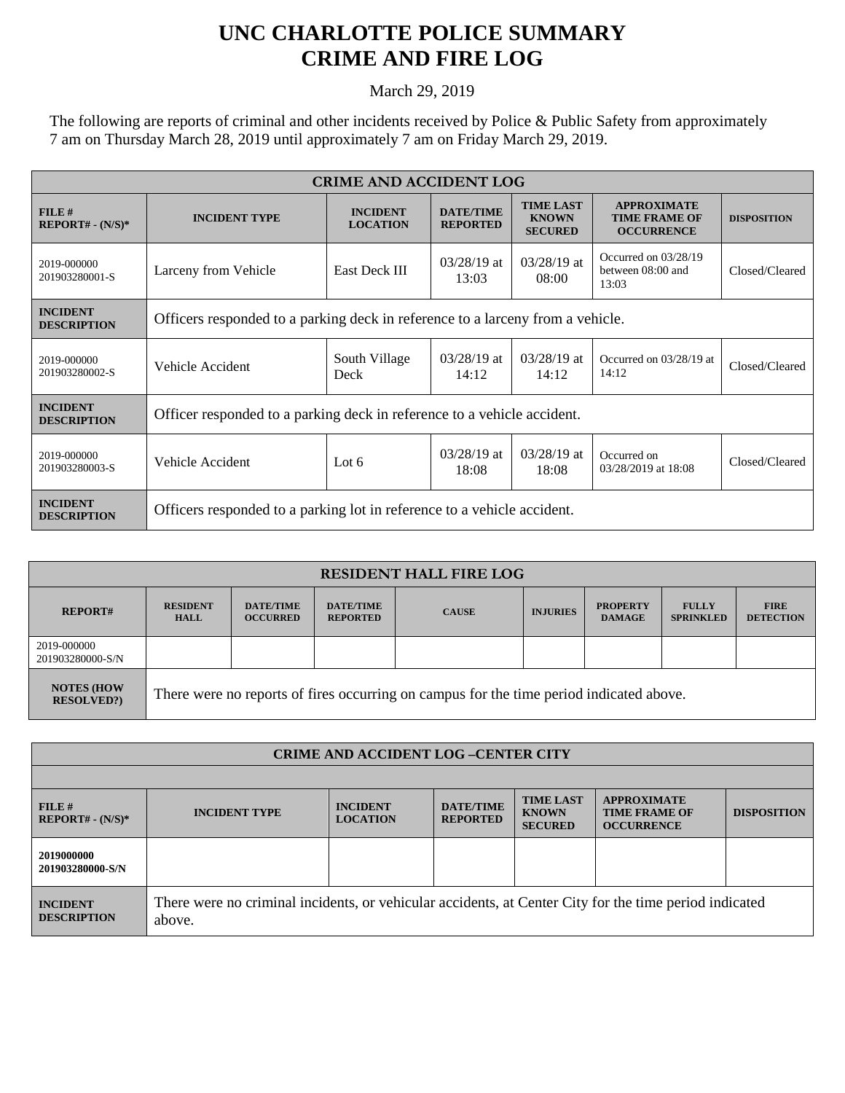## **UNC CHARLOTTE POLICE SUMMARY CRIME AND FIRE LOG**

March 29, 2019

The following are reports of criminal and other incidents received by Police & Public Safety from approximately 7 am on Thursday March 28, 2019 until approximately 7 am on Friday March 29, 2019.

| <b>CRIME AND ACCIDENT LOG</b>         |                                                                                |                                    |                                     |                                                    |                                                                 |                    |  |
|---------------------------------------|--------------------------------------------------------------------------------|------------------------------------|-------------------------------------|----------------------------------------------------|-----------------------------------------------------------------|--------------------|--|
| FILE#<br>$REPORT# - (N/S)*$           | <b>INCIDENT TYPE</b>                                                           | <b>INCIDENT</b><br><b>LOCATION</b> | <b>DATE/TIME</b><br><b>REPORTED</b> | <b>TIME LAST</b><br><b>KNOWN</b><br><b>SECURED</b> | <b>APPROXIMATE</b><br><b>TIME FRAME OF</b><br><b>OCCURRENCE</b> | <b>DISPOSITION</b> |  |
| 2019-000000<br>201903280001-S         | Larceny from Vehicle                                                           | East Deck III                      | $03/28/19$ at<br>13:03              | $03/28/19$ at<br>08:00                             | Occurred on $03/28/19$<br>between 08:00 and<br>13:03            | Closed/Cleared     |  |
| <b>INCIDENT</b><br><b>DESCRIPTION</b> | Officers responded to a parking deck in reference to a larceny from a vehicle. |                                    |                                     |                                                    |                                                                 |                    |  |
| 2019-000000<br>201903280002-S         | Vehicle Accident                                                               | South Village<br>Deck              | $03/28/19$ at<br>14:12              | $03/28/19$ at<br>14:12                             | Occurred on 03/28/19 at<br>14:12                                | Closed/Cleared     |  |
| <b>INCIDENT</b><br><b>DESCRIPTION</b> | Officer responded to a parking deck in reference to a vehicle accident.        |                                    |                                     |                                                    |                                                                 |                    |  |
| 2019-000000<br>201903280003-S         | Vehicle Accident                                                               | Lot $6$                            | $03/28/19$ at<br>18:08              | $03/28/19$ at<br>18:08                             | Occurred on<br>03/28/2019 at 18:08                              | Closed/Cleared     |  |
| <b>INCIDENT</b><br><b>DESCRIPTION</b> | Officers responded to a parking lot in reference to a vehicle accident.        |                                    |                                     |                                                    |                                                                 |                    |  |

| <b>RESIDENT HALL FIRE LOG</b>         |                                                                                         |                                     |                                     |              |                 |                                  |                                  |                                 |
|---------------------------------------|-----------------------------------------------------------------------------------------|-------------------------------------|-------------------------------------|--------------|-----------------|----------------------------------|----------------------------------|---------------------------------|
| <b>REPORT#</b>                        | <b>RESIDENT</b><br><b>HALL</b>                                                          | <b>DATE/TIME</b><br><b>OCCURRED</b> | <b>DATE/TIME</b><br><b>REPORTED</b> | <b>CAUSE</b> | <b>INJURIES</b> | <b>PROPERTY</b><br><b>DAMAGE</b> | <b>FULLY</b><br><b>SPRINKLED</b> | <b>FIRE</b><br><b>DETECTION</b> |
| 2019-000000<br>201903280000-S/N       |                                                                                         |                                     |                                     |              |                 |                                  |                                  |                                 |
| <b>NOTES (HOW</b><br><b>RESOLVED?</b> | There were no reports of fires occurring on campus for the time period indicated above. |                                     |                                     |              |                 |                                  |                                  |                                 |

| <b>CRIME AND ACCIDENT LOG-CENTER CITY</b> |                                                                                                                  |                                    |                                     |                                                    |                                                                 |                    |  |
|-------------------------------------------|------------------------------------------------------------------------------------------------------------------|------------------------------------|-------------------------------------|----------------------------------------------------|-----------------------------------------------------------------|--------------------|--|
|                                           |                                                                                                                  |                                    |                                     |                                                    |                                                                 |                    |  |
| FILE#<br>$REPORT# - (N/S)*$               | <b>INCIDENT TYPE</b>                                                                                             | <b>INCIDENT</b><br><b>LOCATION</b> | <b>DATE/TIME</b><br><b>REPORTED</b> | <b>TIME LAST</b><br><b>KNOWN</b><br><b>SECURED</b> | <b>APPROXIMATE</b><br><b>TIME FRAME OF</b><br><b>OCCURRENCE</b> | <b>DISPOSITION</b> |  |
| 2019000000<br>201903280000-S/N            |                                                                                                                  |                                    |                                     |                                                    |                                                                 |                    |  |
| <b>INCIDENT</b><br><b>DESCRIPTION</b>     | There were no criminal incidents, or vehicular accidents, at Center City for the time period indicated<br>above. |                                    |                                     |                                                    |                                                                 |                    |  |